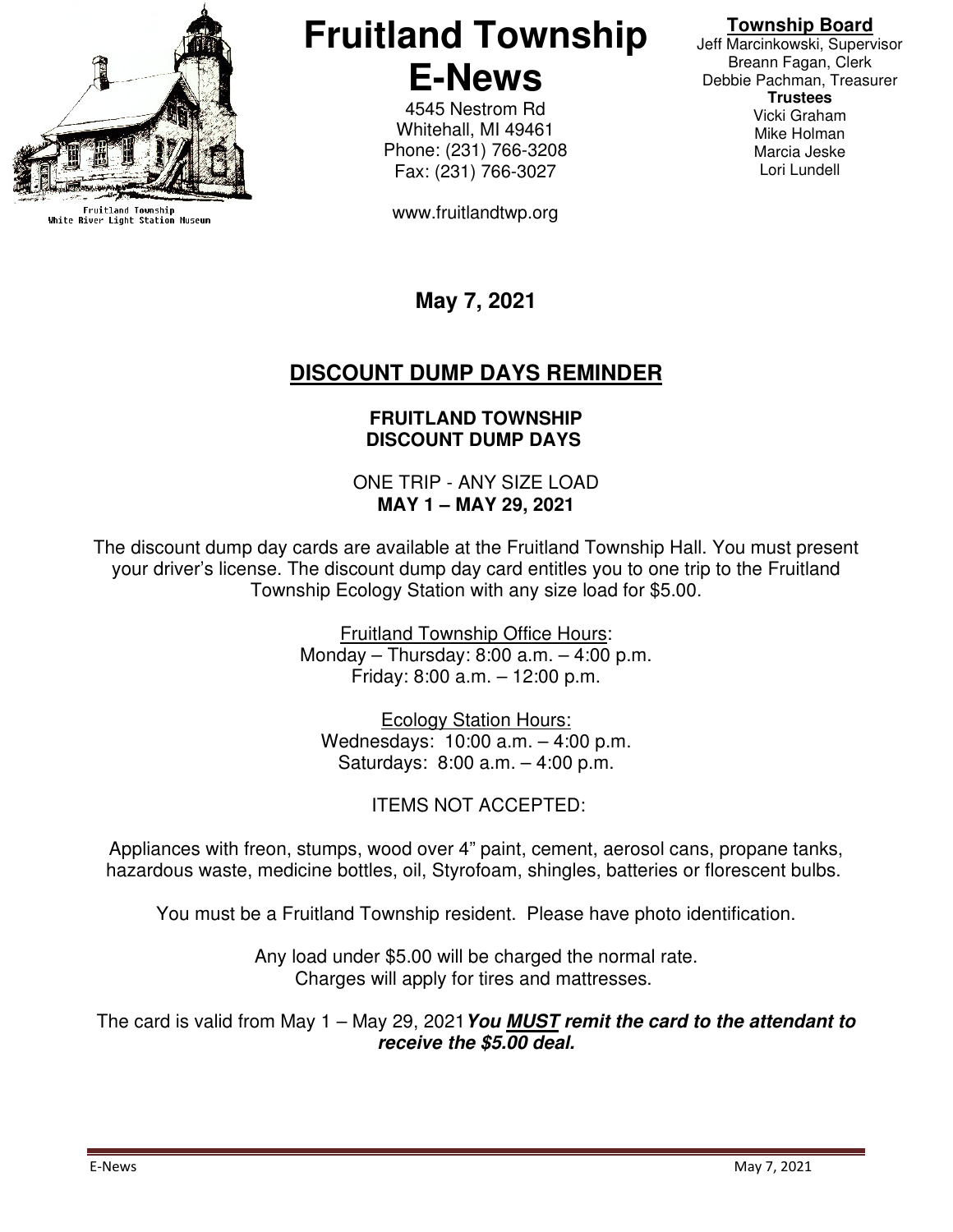

Fruitland Township<br>White River Light Station Museum

# **Fruitland Township E-News**

4545 Nestrom Rd Whitehall, MI 49461 Phone: (231) 766-3208 Fax: (231) 766-3027

www.fruitlandtwp.org

### **Township Board**

Jeff Marcinkowski, Supervisor Breann Fagan, Clerk Debbie Pachman, Treasurer **Trustees**  Vicki Graham Mike Holman Marcia Jeske Lori Lundell

**May 7, 2021** 

# **DISCOUNT DUMP DAYS REMINDER**

#### **FRUITLAND TOWNSHIP DISCOUNT DUMP DAYS**

ONE TRIP - ANY SIZE LOAD **MAY 1 – MAY 29, 2021**

The discount dump day cards are available at the Fruitland Township Hall. You must present your driver's license. The discount dump day card entitles you to one trip to the Fruitland Township Ecology Station with any size load for \$5.00.

> Fruitland Township Office Hours: Monday – Thursday: 8:00 a.m. – 4:00 p.m. Friday: 8:00 a.m. – 12:00 p.m.

Ecology Station Hours: Wednesdays: 10:00 a.m. – 4:00 p.m. Saturdays: 8:00 a.m. – 4:00 p.m.

ITEMS NOT ACCEPTED:

Appliances with freon, stumps, wood over 4" paint, cement, aerosol cans, propane tanks, hazardous waste, medicine bottles, oil, Styrofoam, shingles, batteries or florescent bulbs.

You must be a Fruitland Township resident. Please have photo identification.

Any load under \$5.00 will be charged the normal rate. Charges will apply for tires and mattresses.

The card is valid from May 1 – May 29, 2021**You MUST remit the card to the attendant to receive the \$5.00 deal.**